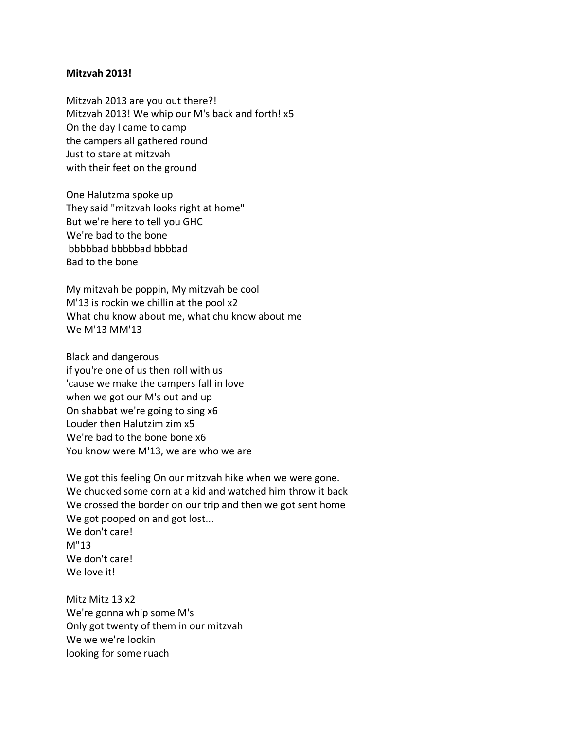## **Mitzvah 2013!**

Mitzvah 2013 are you out there?! Mitzvah 2013! We whip our M's back and forth! x5 On the day I came to camp the campers all gathered round Just to stare at mitzvah with their feet on the ground

One Halutzma spoke up They said "mitzvah looks right at home" But we're here to tell you GHC We're bad to the bone bbbbbad bbbbbad bbbbad Bad to the bone

My mitzvah be poppin, My mitzvah be cool M'13 is rockin we chillin at the pool x2 What chu know about me, what chu know about me We M'13 MM'13

Black and dangerous if you're one of us then roll with us 'cause we make the campers fall in love when we got our M's out and up On shabbat we're going to sing x6 Louder then Halutzim zim x5 We're bad to the bone bone x6 You know were M'13, we are who we are

We got this feeling On our mitzvah hike when we were gone. We chucked some corn at a kid and watched him throw it back We crossed the border on our trip and then we got sent home We got pooped on and got lost... We don't care! M"13 We don't care! We love it!

Mitz Mitz 13 x2 We're gonna whip some M's Only got twenty of them in our mitzvah We we we're lookin looking for some ruach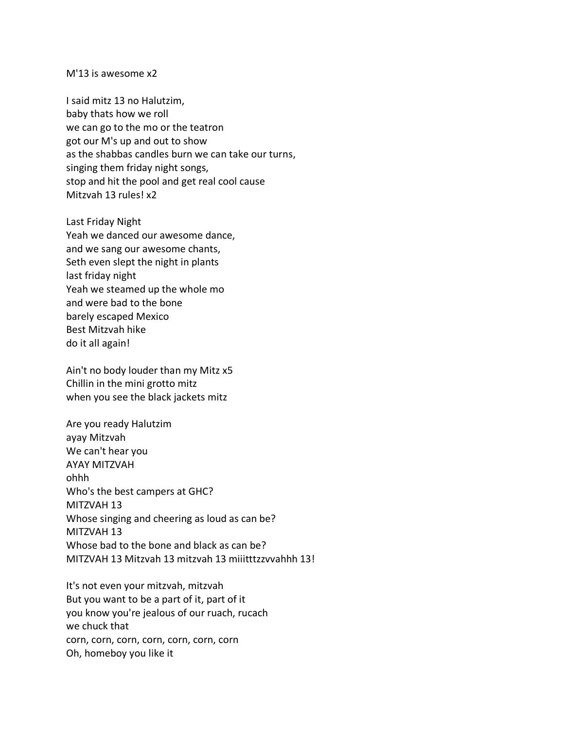## M'13 is awesome x2

I said mitz 13 no Halutzim, baby thats how we roll we can go to the mo or the teatron got our M's up and out to show as the shabbas candles burn we can take our turns, singing them friday night songs, stop and hit the pool and get real cool cause Mitzvah 13 rules! x2

Last Friday Night Yeah we danced our awesome dance, and we sang our awesome chants, Seth even slept the night in plants last friday night Yeah we steamed up the whole mo and were bad to the bone barely escaped Mexico Best Mitzvah hike do it all again!

Ain't no body louder than my Mitz x5 Chillin in the mini grotto mitz when you see the black jackets mitz

Are you ready Halutzim ayay Mitzvah We can't hear you AYAY MITZVAH ohhh Who's the best campers at GHC? MITZVAH 13 Whose singing and cheering as loud as can be? MITZVAH 13 Whose bad to the bone and black as can be? MITZVAH 13 Mitzvah 13 mitzvah 13 miiitttzzvvahhh 13!

It's not even your mitzvah, mitzvah But you want to be a part of it, part of it you know you're jealous of our ruach, rucach we chuck that corn, corn, corn, corn, corn, corn, corn Oh, homeboy you like it